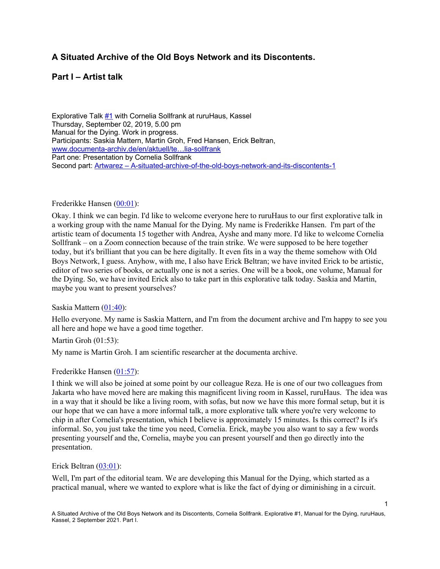# **A Situated Archive of the Old Boys Network and its Discontents.**

# **Part I – Artist talk**

Explorative Talk #1 with Cornelia Sollfrank at ruruHaus, Kassel Thursday, September 02, 2019, 5.00 pm Manual for the Dying. Work in progress. Participants: Saskia Mattern, Martin Groh, Fred Hansen, Erick Beltran, www.documenta-archiv.de/en/aktuell/te…lia-sollfrank Part one: Presentation by Cornelia Sollfrank Second part: Artwarez – A-situated-archive-of-the-old-boys-network-and-its-discontents-1

### Frederikke Hansen (00:01):

Okay. I think we can begin. I'd like to welcome everyone here to ruruHaus to our first explorative talk in a working group with the name Manual for the Dying. My name is Frederikke Hansen. I'm part of the artistic team of documenta 15 together with Andrea, Ayshe and many more. I'd like to welcome Cornelia Sollfrank – on a Zoom connection because of the train strike. We were supposed to be here together today, but it's brilliant that you can be here digitally. It even fits in a way the theme somehow with Old Boys Network, I guess. Anyhow, with me, I also have Erick Beltran; we have invited Erick to be artistic, editor of two series of books, or actually one is not a series. One will be a book, one volume, Manual for the Dying. So, we have invited Erick also to take part in this explorative talk today. Saskia and Martin, maybe you want to present yourselves?

### Saskia Mattern (01:40):

Hello everyone. My name is Saskia Mattern, and I'm from the document archive and I'm happy to see you all here and hope we have a good time together.

# Martin Groh (01:53):

My name is Martin Groh. I am scientific researcher at the documenta archive.

## Frederikke Hansen (01:57):

I think we will also be joined at some point by our colleague Reza. He is one of our two colleagues from Jakarta who have moved here are making this magnificent living room in Kassel, ruruHaus. The idea was in a way that it should be like a living room, with sofas, but now we have this more formal setup, but it is our hope that we can have a more informal talk, a more explorative talk where you're very welcome to chip in after Cornelia's presentation, which I believe is approximately 15 minutes. Is this correct? Is it's informal. So, you just take the time you need, Cornelia. Erick, maybe you also want to say a few words presenting yourself and the, Cornelia, maybe you can present yourself and then go directly into the presentation.

### Erick Beltran (03:01):

Well, I'm part of the editorial team. We are developing this Manual for the Dying, which started as a practical manual, where we wanted to explore what is like the fact of dying or diminishing in a circuit.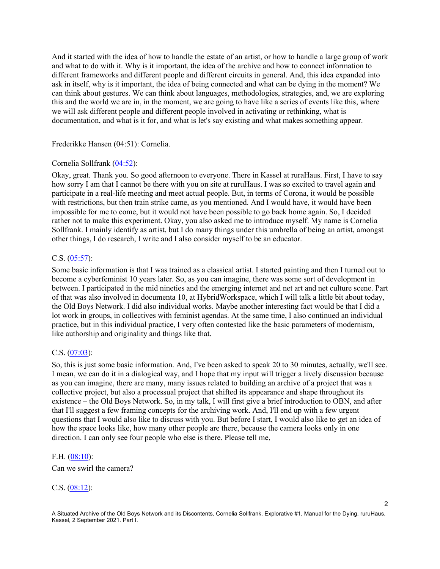And it started with the idea of how to handle the estate of an artist, or how to handle a large group of work and what to do with it. Why is it important, the idea of the archive and how to connect information to different frameworks and different people and different circuits in general. And, this idea expanded into ask in itself, why is it important, the idea of being connected and what can be dying in the moment? We can think about gestures. We can think about languages, methodologies, strategies, and, we are exploring this and the world we are in, in the moment, we are going to have like a series of events like this, where we will ask different people and different people involved in activating or rethinking, what is documentation, and what is it for, and what is let's say existing and what makes something appear.

Frederikke Hansen (04:51): Cornelia.

### Cornelia Sollfrank (04:52):

Okay, great. Thank you. So good afternoon to everyone. There in Kassel at ruraHaus. First, I have to say how sorry I am that I cannot be there with you on site at ruruHaus. I was so excited to travel again and participate in a real-life meeting and meet actual people. But, in terms of Corona, it would be possible with restrictions, but then train strike came, as you mentioned. And I would have, it would have been impossible for me to come, but it would not have been possible to go back home again. So, I decided rather not to make this experiment. Okay, you also asked me to introduce myself. My name is Cornelia Sollfrank. I mainly identify as artist, but I do many things under this umbrella of being an artist, amongst other things, I do research, I write and I also consider myself to be an educator.

### C.S. (05:57):

Some basic information is that I was trained as a classical artist. I started painting and then I turned out to become a cyberfeminist 10 years later. So, as you can imagine, there was some sort of development in between. I participated in the mid nineties and the emerging internet and net art and net culture scene. Part of that was also involved in documenta 10, at HybridWorkspace, which I will talk a little bit about today, the Old Boys Network. I did also individual works. Maybe another interesting fact would be that I did a lot work in groups, in collectives with feminist agendas. At the same time, I also continued an individual practice, but in this individual practice, I very often contested like the basic parameters of modernism, like authorship and originality and things like that.

### C.S. (07:03):

So, this is just some basic information. And, I've been asked to speak 20 to 30 minutes, actually, we'll see. I mean, we can do it in a dialogical way, and I hope that my input will trigger a lively discussion because as you can imagine, there are many, many issues related to building an archive of a project that was a collective project, but also a processual project that shifted its appearance and shape throughout its existence – the Old Boys Network. So, in my talk, I will first give a brief introduction to OBN, and after that I'll suggest a few framing concepts for the archiving work. And, I'll end up with a few urgent questions that I would also like to discuss with you. But before I start, I would also like to get an idea of how the space looks like, how many other people are there, because the camera looks only in one direction. I can only see four people who else is there. Please tell me,

### F.H. (08:10):

Can we swirl the camera?

### C.S. (08:12):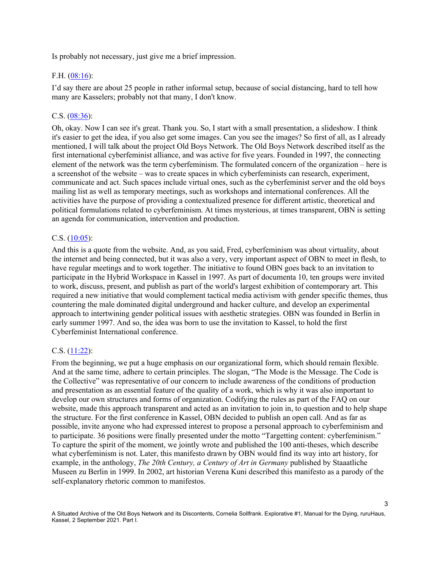Is probably not necessary, just give me a brief impression.

### F.H. (08:16):

I'd say there are about 25 people in rather informal setup, because of social distancing, hard to tell how many are Kasselers; probably not that many, I don't know.

### C.S. (08:36):

Oh, okay. Now I can see it's great. Thank you. So, I start with a small presentation, a slideshow. I think it's easier to get the idea, if you also get some images. Can you see the images? So first of all, as I already mentioned, I will talk about the project Old Boys Network. The Old Boys Network described itself as the first international cyberfeminist alliance, and was active for five years. Founded in 1997, the connecting element of the network was the term cyberfeminism. The formulated concern of the organization – here is a screenshot of the website – was to create spaces in which cyberfeminists can research, experiment, communicate and act. Such spaces include virtual ones, such as the cyberfeminist server and the old boys mailing list as well as temporary meetings, such as workshops and international conferences. All the activities have the purpose of providing a contextualized presence for different artistic, theoretical and political formulations related to cyberfeminism. At times mysterious, at times transparent, OBN is setting an agenda for communication, intervention and production.

#### C.S. (10:05):

And this is a quote from the website. And, as you said, Fred, cyberfeminism was about virtuality, about the internet and being connected, but it was also a very, very important aspect of OBN to meet in flesh, to have regular meetings and to work together. The initiative to found OBN goes back to an invitation to participate in the Hybrid Workspace in Kassel in 1997. As part of documenta 10, ten groups were invited to work, discuss, present, and publish as part of the world's largest exhibition of contemporary art. This required a new initiative that would complement tactical media activism with gender specific themes, thus countering the male dominated digital underground and hacker culture, and develop an experimental approach to intertwining gender political issues with aesthetic strategies. OBN was founded in Berlin in early summer 1997. And so, the idea was born to use the invitation to Kassel, to hold the first Cyberfeminist International conference.

#### C.S. (11:22):

From the beginning, we put a huge emphasis on our organizational form, which should remain flexible. And at the same time, adhere to certain principles. The slogan, "The Mode is the Message. The Code is the Collective" was representative of our concern to include awareness of the conditions of production and presentation as an essential feature of the quality of a work, which is why it was also important to develop our own structures and forms of organization. Codifying the rules as part of the FAQ on our website, made this approach transparent and acted as an invitation to join in, to question and to help shape the structure. For the first conference in Kassel, OBN decided to publish an open call. And as far as possible, invite anyone who had expressed interest to propose a personal approach to cyberfeminism and to participate. 36 positions were finally presented under the motto "Targetting content: cyberfeminism." To capture the spirit of the moment, we jointly wrote and published the 100 anti-theses, which describe what cyberfeminism is not. Later, this manifesto drawn by OBN would find its way into art history, for example, in the anthology, *The 20th Century, a Century of Art in Germany* published by Staaatliche Museen zu Berlin in 1999. In 2002, art historian Verena Kuni described this manifesto as a parody of the self-explanatory rhetoric common to manifestos.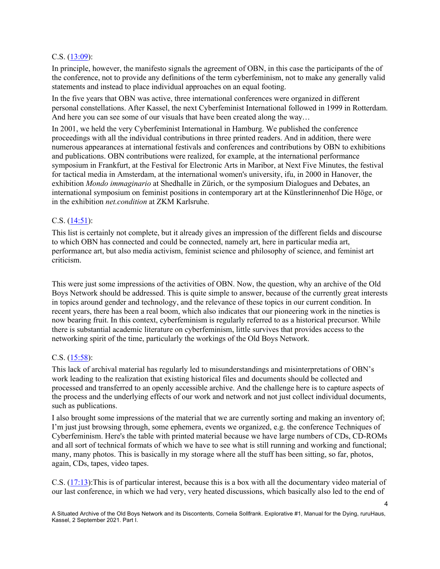### C.S. (13:09):

In principle, however, the manifesto signals the agreement of OBN, in this case the participants of the of the conference, not to provide any definitions of the term cyberfeminism, not to make any generally valid statements and instead to place individual approaches on an equal footing.

In the five years that OBN was active, three international conferences were organized in different personal constellations. After Kassel, the next Cyberfeminist International followed in 1999 in Rotterdam. And here you can see some of our visuals that have been created along the way...

In 2001, we held the very Cyberfeminist International in Hamburg. We published the conference proceedings with all the individual contributions in three printed readers. And in addition, there were numerous appearances at international festivals and conferences and contributions by OBN to exhibitions and publications. OBN contributions were realized, for example, at the international performance symposium in Frankfurt, at the Festival for Electronic Arts in Maribor, at Next Five Minutes, the festival for tactical media in Amsterdam, at the international women's university, ifu, in 2000 in Hanover, the exhibition *Mondo immaginario* at Shedhalle in Zürich, or the symposium Dialogues and Debates, an international symposium on feminist positions in contemporary art at the Künstlerinnenhof Die Höge, or in the exhibition *net.condition* at ZKM Karlsruhe.

### C.S. (14:51):

This list is certainly not complete, but it already gives an impression of the different fields and discourse to which OBN has connected and could be connected, namely art, here in particular media art, performance art, but also media activism, feminist science and philosophy of science, and feminist art criticism.

This were just some impressions of the activities of OBN. Now, the question, why an archive of the Old Boys Network should be addressed. This is quite simple to answer, because of the currently great interests in topics around gender and technology, and the relevance of these topics in our current condition. In recent years, there has been a real boom, which also indicates that our pioneering work in the nineties is now bearing fruit. In this context, cyberfeminism is regularly referred to as a historical precursor. While there is substantial academic literature on cyberfeminism, little survives that provides access to the networking spirit of the time, particularly the workings of the Old Boys Network.

# C.S. (15:58):

This lack of archival material has regularly led to misunderstandings and misinterpretations of OBN's work leading to the realization that existing historical files and documents should be collected and processed and transferred to an openly accessible archive. And the challenge here is to capture aspects of the process and the underlying effects of our work and network and not just collect individual documents, such as publications.

I also brought some impressions of the material that we are currently sorting and making an inventory of; I'm just just browsing through, some ephemera, events we organized, e.g. the conference Techniques of Cyberfeminism. Here's the table with printed material because we have large numbers of CDs, CD-ROMs and all sort of technical formats of which we have to see what is still running and working and functional; many, many photos. This is basically in my storage where all the stuff has been sitting, so far, photos, again, CDs, tapes, video tapes.

C.S. (17:13):This is of particular interest, because this is a box with all the documentary video material of our last conference, in which we had very, very heated discussions, which basically also led to the end of

4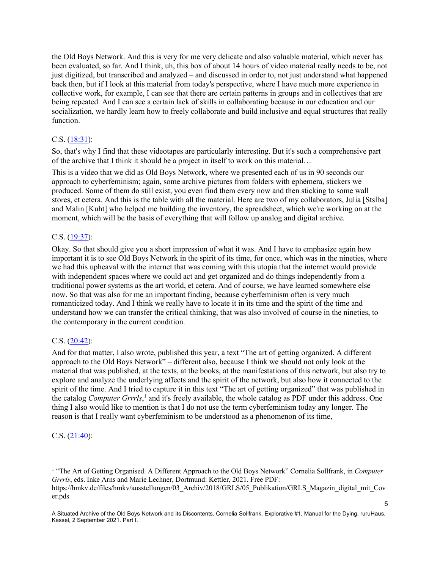the Old Boys Network. And this is very for me very delicate and also valuable material, which never has been evaluated, so far. And I think, uh, this box of about 14 hours of video material really needs to be, not just digitized, but transcribed and analyzed – and discussed in order to, not just understand what happened back then, but if I look at this material from today's perspective, where I have much more experience in collective work, for example, I can see that there are certain patterns in groups and in collectives that are being repeated. And I can see a certain lack of skills in collaborating because in our education and our socialization, we hardly learn how to freely collaborate and build inclusive and equal structures that really function.

## C.S. (18:31):

So, that's why I find that these videotapes are particularly interesting. But it's such a comprehensive part of the archive that I think it should be a project in itself to work on this material…

This is a video that we did as Old Boys Network, where we presented each of us in 90 seconds our approach to cyberfeminism; again, some archive pictures from folders with ephemera, stickers we produced. Some of them do still exist, you even find them every now and then sticking to some wall stores, et cetera. And this is the table with all the material. Here are two of my collaborators, Julia [Stslba] and Malin [Kuht] who helped me building the inventory, the spreadsheet, which we're working on at the moment, which will be the basis of everything that will follow up analog and digital archive.

### C.S. (19:37):

Okay. So that should give you a short impression of what it was. And I have to emphasize again how important it is to see Old Boys Network in the spirit of its time, for once, which was in the nineties, where we had this upheaval with the internet that was coming with this utopia that the internet would provide with independent spaces where we could act and get organized and do things independently from a traditional power systems as the art world, et cetera. And of course, we have learned somewhere else now. So that was also for me an important finding, because cyberfeminism often is very much romanticized today. And I think we really have to locate it in its time and the spirit of the time and understand how we can transfer the critical thinking, that was also involved of course in the nineties, to the contemporary in the current condition.

## C.S. (20:42):

And for that matter, I also wrote, published this year, a text "The art of getting organized. A different approach to the Old Boys Network" – different also, because I think we should not only look at the material that was published, at the texts, at the books, at the manifestations of this network, but also try to explore and analyze the underlying affects and the spirit of the network, but also how it connected to the spirit of the time. And I tried to capture it in this text "The art of getting organized" that was published in the catalog *Computer Grrrls*, <sup>1</sup> and it's freely available, the whole catalog as PDF under this address. One thing I also would like to mention is that I do not use the term cyberfeminism today any longer. The reason is that I really want cyberfeminism to be understood as a phenomenon of its time,

### C.S. (21:40):

<sup>1</sup> "The Art of Getting Organised. A Different Approach to the Old Boys Network" Cornelia Sollfrank, in *Computer Grrrls*, eds. Inke Arns and Marie Lechner, Dortmund: Kettler, 2021. Free PDF:

https://hmkv.de/files/hmkv/ausstellungen/03\_Archiv/2018/GRLS/05\_Publikation/GRLS\_Magazin\_digital\_mit\_Cov er.pds

A Situated Archive of the Old Boys Network and its Discontents, Cornelia Sollfrank. Explorative #1, Manual for the Dying, ruruHaus, Kassel, 2 September 2021. Part I.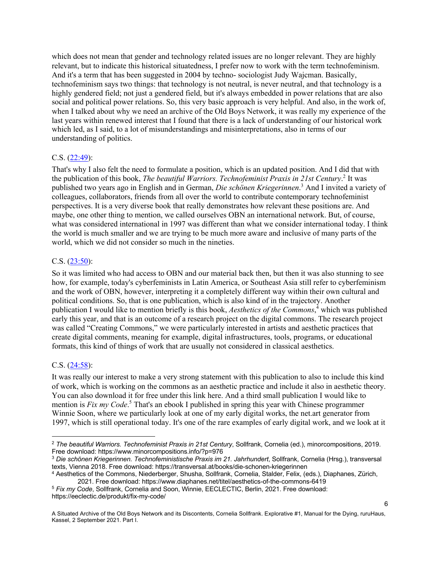which does not mean that gender and technology related issues are no longer relevant. They are highly relevant, but to indicate this historical situatedness, I prefer now to work with the term technofeminism. And it's a term that has been suggested in 2004 by techno- sociologist Judy Wajcman. Basically, technofeminism says two things: that technology is not neutral, is never neutral, and that technology is a highly gendered field; not just a gendered field, but it's always embedded in power relations that are also social and political power relations. So, this very basic approach is very helpful. And also, in the work of, when I talked about why we need an archive of the Old Boys Network, it was really my experience of the last years within renewed interest that I found that there is a lack of understanding of our historical work which led, as I said, to a lot of misunderstandings and misinterpretations, also in terms of our understanding of politics.

### C.S. (22:49):

That's why I also felt the need to formulate a position, which is an updated position. And I did that with the publication of this book, *The beautiful Warriors. Technofeminist Praxis in 21st Century*. <sup>2</sup> It was published two years ago in English and in German, *Die schönen Kriegerinnen*. <sup>3</sup> And I invited a variety of colleagues, collaborators, friends from all over the world to contribute contemporary technofeminist perspectives. It is a very diverse book that really demonstrates how relevant these positions are. And maybe, one other thing to mention, we called ourselves OBN an international network. But, of course, what was considered international in 1997 was different than what we consider international today. I think the world is much smaller and we are trying to be much more aware and inclusive of many parts of the world, which we did not consider so much in the nineties.

### C.S. (23:50):

So it was limited who had access to OBN and our material back then, but then it was also stunning to see how, for example, today's cyberfeminists in Latin America, or Southeast Asia still refer to cyberfeminism and the work of OBN, however, interpreting it a completely different way within their own cultural and political conditions. So, that is one publication, which is also kind of in the trajectory. Another publication I would like to mention briefly is this book, *Aesthetics of the Commons*, <sup>4</sup> which was published early this year, and that is an outcome of a research project on the digital commons. The research project was called "Creating Commons," we were particularly interested in artists and aesthetic practices that create digital comments, meaning for example, digital infrastructures, tools, programs, or educational formats, this kind of things of work that are usually not considered in classical aesthetics.

## C.S. (24:58):

It was really our interest to make a very strong statement with this publication to also to include this kind of work, which is working on the commons as an aesthetic practice and include it also in aesthetic theory. You can also download it for free under this link here. And a third small publication I would like to mention is *Fix my Code*. <sup>5</sup> That's an ebook I published in spring this year with Chinese programmer Winnie Soon, where we particularly look at one of my early digital works, the net.art generator from 1997, which is still operational today. It's one of the rare examples of early digital work, and we look at it

<sup>2</sup> *The beautiful Warriors. Technofeminist Praxis in 21st Century*, Sollfrank, Cornelia (ed.), minorcompositions, 2019. Free download: https://www.minorcompositions.info/?p=976

<sup>3</sup> *Die schönen Kriegerinnen. Technofeministische Praxis im 21. Jahrhundert*, Sollfrank, Cornelia (Hrsg.), transversal texts, Vienna 2018. Free download: https://transversal.at/books/die-schonen-kriegerinnen

<sup>4</sup> Aesthetics of the Commons, Niederberger, Shusha, Sollfrank, Cornelia, Stalder, Felix, (eds.), Diaphanes, Zürich, 2021. Free download: https://www.diaphanes.net/titel/aesthetics-of-the-commons-6419

<sup>5</sup> *Fix my Code*, Sollfrank, Cornelia and Soon, Winnie, EECLECTIC, Berlin, 2021. Free download: https://eeclectic.de/produkt/fix-my-code/

A Situated Archive of the Old Boys Network and its Discontents, Cornelia Sollfrank. Explorative #1, Manual for the Dying, ruruHaus, Kassel, 2 September 2021. Part I.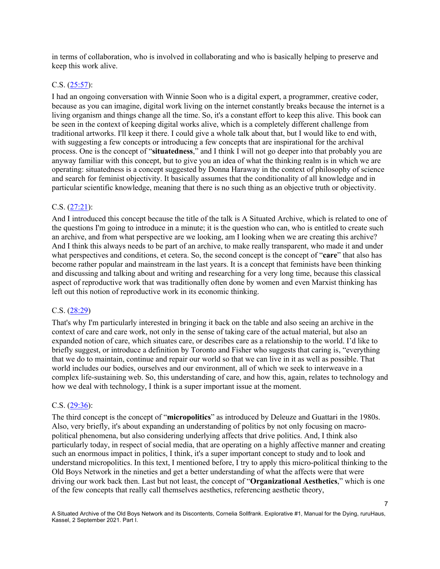in terms of collaboration, who is involved in collaborating and who is basically helping to preserve and keep this work alive.

### C.S. (25:57):

I had an ongoing conversation with Winnie Soon who is a digital expert, a programmer, creative coder, because as you can imagine, digital work living on the internet constantly breaks because the internet is a living organism and things change all the time. So, it's a constant effort to keep this alive. This book can be seen in the context of keeping digital works alive, which is a completely different challenge from traditional artworks. I'll keep it there. I could give a whole talk about that, but I would like to end with, with suggesting a few concepts or introducing a few concepts that are inspirational for the archival process. One is the concept of "**situatedness**," and I think I will not go deeper into that probably you are anyway familiar with this concept, but to give you an idea of what the thinking realm is in which we are operating: situatedness is a concept suggested by Donna Haraway in the context of philosophy of science and search for feminist objectivity. It basically assumes that the conditionality of all knowledge and in particular scientific knowledge, meaning that there is no such thing as an objective truth or objectivity.

### C.S. (27:21):

And I introduced this concept because the title of the talk is A Situated Archive, which is related to one of the questions I'm going to introduce in a minute; it is the question who can, who is entitled to create such an archive, and from what perspective are we looking, am I looking when we are creating this archive? And I think this always needs to be part of an archive, to make really transparent, who made it and under what perspectives and conditions, et cetera. So, the second concept is the concept of "**care**" that also has become rather popular and mainstream in the last years. It is a concept that feminists have been thinking and discussing and talking about and writing and researching for a very long time, because this classical aspect of reproductive work that was traditionally often done by women and even Marxist thinking has left out this notion of reproductive work in its economic thinking.

### C.S. (28:29)

That's why I'm particularly interested in bringing it back on the table and also seeing an archive in the context of care and care work, not only in the sense of taking care of the actual material, but also an expanded notion of care, which situates care, or describes care as a relationship to the world. I'd like to briefly suggest, or introduce a definition by Toronto and Fisher who suggests that caring is, "everything that we do to maintain, continue and repair our world so that we can live in it as well as possible. That world includes our bodies, ourselves and our environment, all of which we seek to interweave in a complex life-sustaining web. So, this understanding of care, and how this, again, relates to technology and how we deal with technology, I think is a super important issue at the moment.

### C.S. (29:36):

The third concept is the concept of "**micropolitics**" as introduced by Deleuze and Guattari in the 1980s. Also, very briefly, it's about expanding an understanding of politics by not only focusing on macropolitical phenomena, but also considering underlying affects that drive politics. And, I think also particularly today, in respect of social media, that are operating on a highly affective manner and creating such an enormous impact in politics, I think, it's a super important concept to study and to look and understand micropolitics. In this text, I mentioned before, I try to apply this micro-political thinking to the Old Boys Network in the nineties and get a better understanding of what the affects were that were driving our work back then. Last but not least, the concept of "**Organizational Aesthetics**," which is one of the few concepts that really call themselves aesthetics, referencing aesthetic theory,